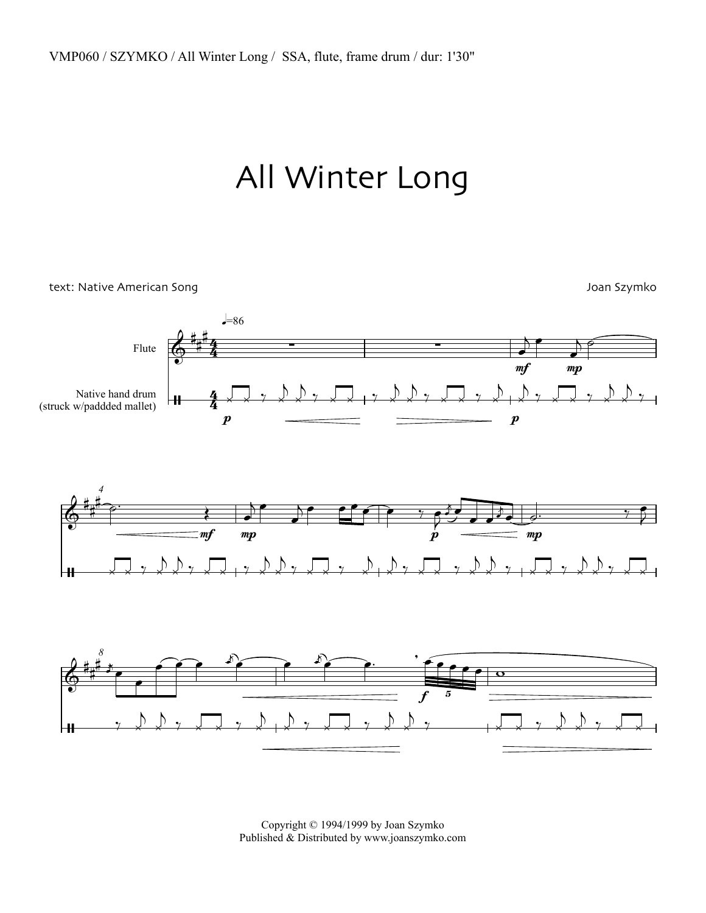## All Winter Long

text: Native American Song Joan Szymko Joan Szymko Joan Szymko



Copyright © 1994/1999 by Joan Szymko Published & Distributed by www.joanszymko.com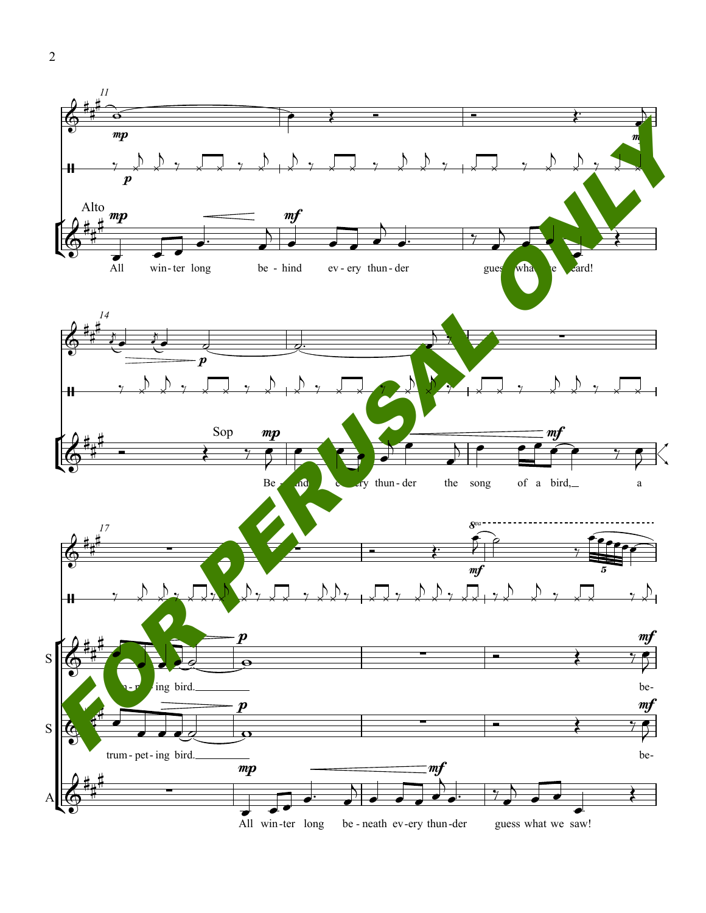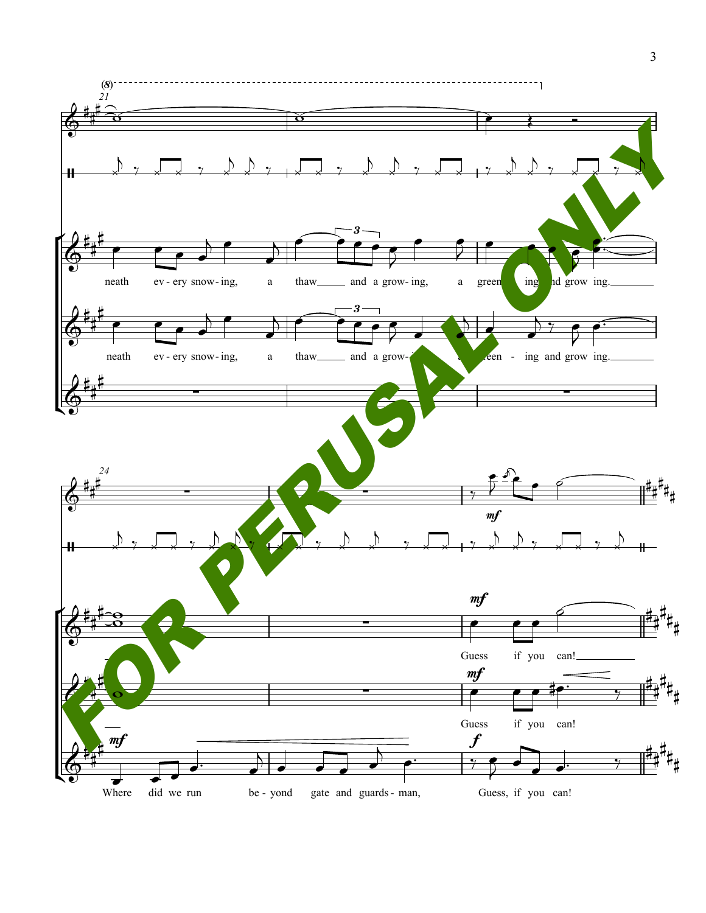

 $\overline{3}$